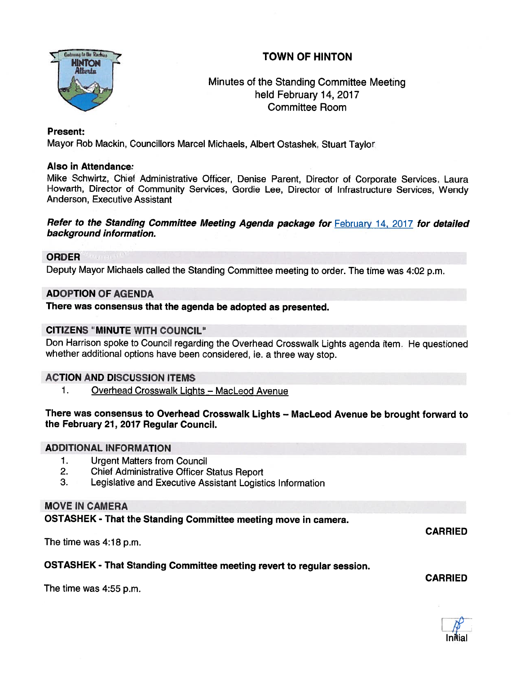# TOWN OF HINTON



## Minutes of the Standing Committee Meeting held February 14, 2017 Committee Room

## Present:

Mayor Rob Mackin, Councillors Marcel Michaels, Albert Ostashek, Stuart Taylor

## Also in Attendance

Mike Schwirtz, Chief Administrative Officer, Denise Parent, Director of Corporate Services, Laura Howarth, Director of Community Services, Gordie Lee, Director of Infrastructure Services, Wendy Anderson, Executive Assistant

Refer to the Standing Committee Meeting Agenda package for February 14, 2017 for detailed background information.

#### ORDER

Deputy Mayor Michaels called the Standing Committee meeting to order. The time was 4:02 p.m.

## ADOPTION OF AGENDA

There was consensus that the agenda be adopted as presented.

## CITIZENS "MINUTE WITH COUNCIL"

Don Harrison spoke to Council regarding the Overhead Crosswalk Lights agenda item. He questioned whether additional options have been considered, ie. <sup>a</sup> three way stop.

#### ACTION AND DISCUSSION ITEMS

1. Overhead Crosswalk Lights - MacLeod Avenue

## There was consensus to Overhead Crosswalk Lights — MacLeod Avenue be brought forward to the February 21, 2017 Regular Council.

#### ADDITIONAL INFORMATION

- 1. Urgent Matters from Council
- 2. Chief Administrative Officer Status Report
- 3. Legislative and Executive Assistant Logistics Information

## MOVE IN CAMERA

OSTASHEK - That the Standing Committee meeting move in camera.

The time was 4:18 p.m.

## OSTASHEK - That Standing Committee meeting revert to regular session.

The time was 4:55 p.m.



CARRIED

CARRIED